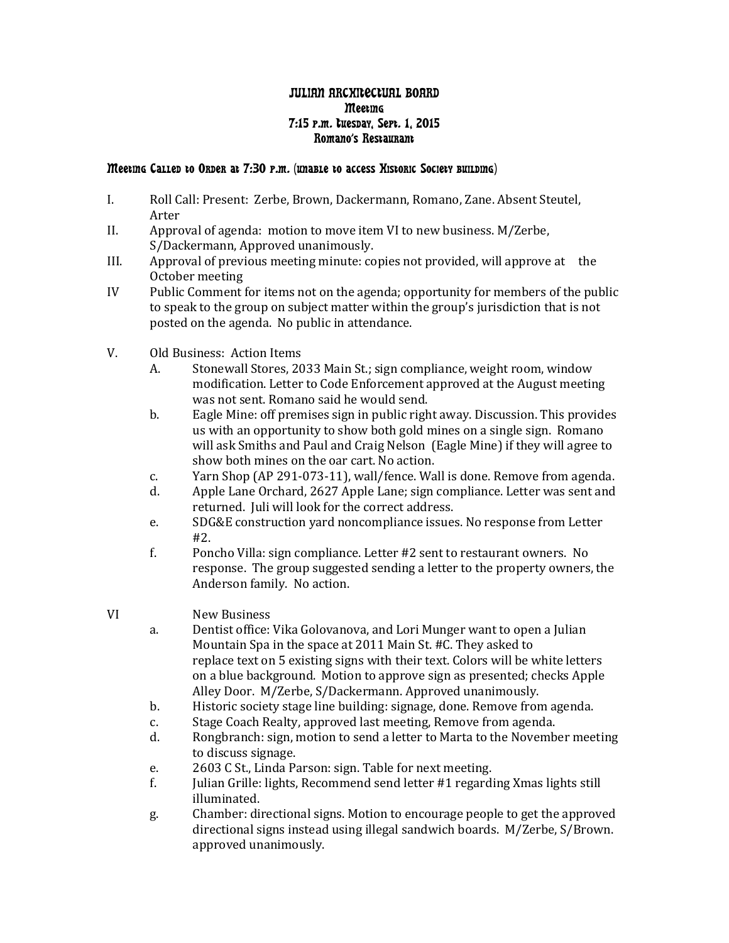## JULIAN ARCHITECTUAL BOARD **Meeting** 7:15 p.m. Tuesday, Sept. 1, 2015 Romano's Restaurant

## Meeting Called to Order at 7:30 p.m. (unable to access Historic Society building)

- I. Roll Call: Present: Zerbe, Brown, Dackermann, Romano, Zane. Absent Steutel, Arter
- II. Approval of agenda: motion to move item VI to new business. M/Zerbe, S/Dackermann, Approved unanimously.
- III. Approval of previous meeting minute: copies not provided, will approve at the October meeting
- IV Public Comment for items not on the agenda; opportunity for members of the public to speak to the group on subject matter within the group's jurisdiction that is not posted on the agenda. No public in attendance.
- V. Old Business: Action Items<br>A. Stonewall Stores. 20
	- Stonewall Stores, 2033 Main St.; sign compliance, weight room, window modification. Letter to Code Enforcement approved at the August meeting was not sent. Romano said he would send.
	- b. Eagle Mine: off premises sign in public right away. Discussion. This provides us with an opportunity to show both gold mines on a single sign. Romano will ask Smiths and Paul and Craig Nelson (Eagle Mine) if they will agree to show both mines on the oar cart. No action.
	- c. Yarn Shop (AP 291-073-11), wall/fence. Wall is done. Remove from agenda.<br>d. Apple Lane Orchard. 2627 Apple Lane: sign compliance. Letter was sent and
	- Apple Lane Orchard, 2627 Apple Lane; sign compliance. Letter was sent and returned. Juli will look for the correct address.
	- e. SDG&E construction yard noncompliance issues. No response from Letter #2.
	- f. Poncho Villa: sign compliance. Letter #2 sent to restaurant owners. No response. The group suggested sending a letter to the property owners, the Anderson family. No action.

## VI New Business<br>a. Dentist office:

- Dentist office: Vika Golovanova, and Lori Munger want to open a Julian Mountain Spa in the space at 2011 Main St. #C. They asked to replace text on 5 existing signs with their text. Colors will be white letters on a blue background. Motion to approve sign as presented; checks Apple Alley Door. M/Zerbe, S/Dackermann. Approved unanimously.
- b. Historic society stage line building: signage, done. Remove from agenda.<br>c. Stage Coach Realty, approved last meeting, Remove from agenda.
- c. Stage Coach Realty, approved last meeting, Remove from agenda.<br>d. Bongbranch: sign. motion to send a letter to Marta to the Novemb
- Rongbranch: sign, motion to send a letter to Marta to the November meeting to discuss signage.
- e. 2603 C St., Linda Parson: sign. Table for next meeting.<br>f. [Initian Grille: lights. Recommend send letter #1 regarding
- Julian Grille: lights, Recommend send letter #1 regarding Xmas lights still illuminated.
- g. Chamber: directional signs. Motion to encourage people to get the approved directional signs instead using illegal sandwich boards. M/Zerbe, S/Brown. approved unanimously.